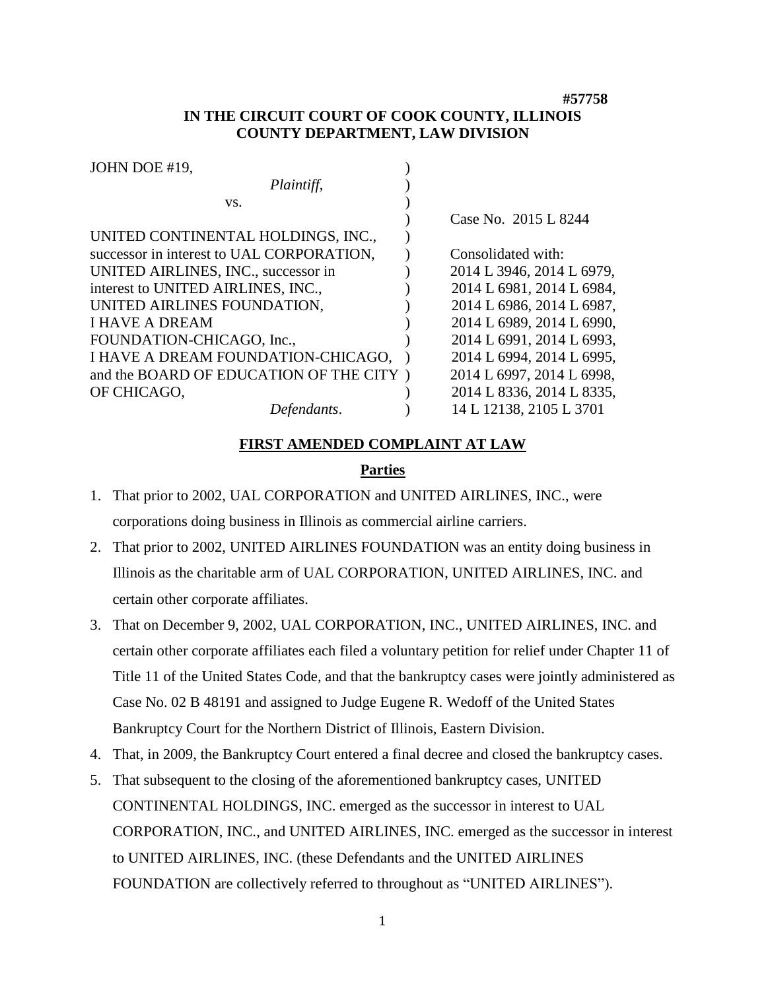**#57758**

# **IN THE CIRCUIT COURT OF COOK COUNTY, ILLINOIS COUNTY DEPARTMENT, LAW DIVISION**

| JOHN DOE #19,                             |                           |
|-------------------------------------------|---------------------------|
| Plaintiff,                                |                           |
| VS.                                       |                           |
|                                           | Case No. 2015 L 8244      |
| UNITED CONTINENTAL HOLDINGS, INC.,        |                           |
| successor in interest to UAL CORPORATION, | Consolidated with:        |
| UNITED AIRLINES, INC., successor in       | 2014 L 3946, 2014 L 6979, |
| interest to UNITED AIRLINES, INC.,        | 2014 L 6981, 2014 L 6984, |
| UNITED AIRLINES FOUNDATION,               | 2014 L 6986, 2014 L 6987, |
| <b>I HAVE A DREAM</b>                     | 2014 L 6989, 2014 L 6990, |
| FOUNDATION-CHICAGO, Inc.,                 | 2014 L 6991, 2014 L 6993, |
| I HAVE A DREAM FOUNDATION-CHICAGO,        | 2014 L 6994, 2014 L 6995, |
| and the BOARD OF EDUCATION OF THE CITY)   | 2014 L 6997, 2014 L 6998, |
| OF CHICAGO,                               | 2014 L 8336, 2014 L 8335, |
| Defendants.                               | 14 L 12138, 2105 L 3701   |

#### **FIRST AMENDED COMPLAINT AT LAW**

## **Parties**

- 1. That prior to 2002, UAL CORPORATION and UNITED AIRLINES, INC., were corporations doing business in Illinois as commercial airline carriers.
- 2. That prior to 2002, UNITED AIRLINES FOUNDATION was an entity doing business in Illinois as the charitable arm of UAL CORPORATION, UNITED AIRLINES, INC. and certain other corporate affiliates.
- 3. That on December 9, 2002, UAL CORPORATION, INC., UNITED AIRLINES, INC. and certain other corporate affiliates each filed a voluntary petition for relief under Chapter 11 of Title 11 of the United States Code, and that the bankruptcy cases were jointly administered as Case No. 02 B 48191 and assigned to Judge Eugene R. Wedoff of the United States Bankruptcy Court for the Northern District of Illinois, Eastern Division.
- 4. That, in 2009, the Bankruptcy Court entered a final decree and closed the bankruptcy cases.
- 5. That subsequent to the closing of the aforementioned bankruptcy cases, UNITED CONTINENTAL HOLDINGS, INC. emerged as the successor in interest to UAL CORPORATION, INC., and UNITED AIRLINES, INC. emerged as the successor in interest to UNITED AIRLINES, INC. (these Defendants and the UNITED AIRLINES FOUNDATION are collectively referred to throughout as "UNITED AIRLINES").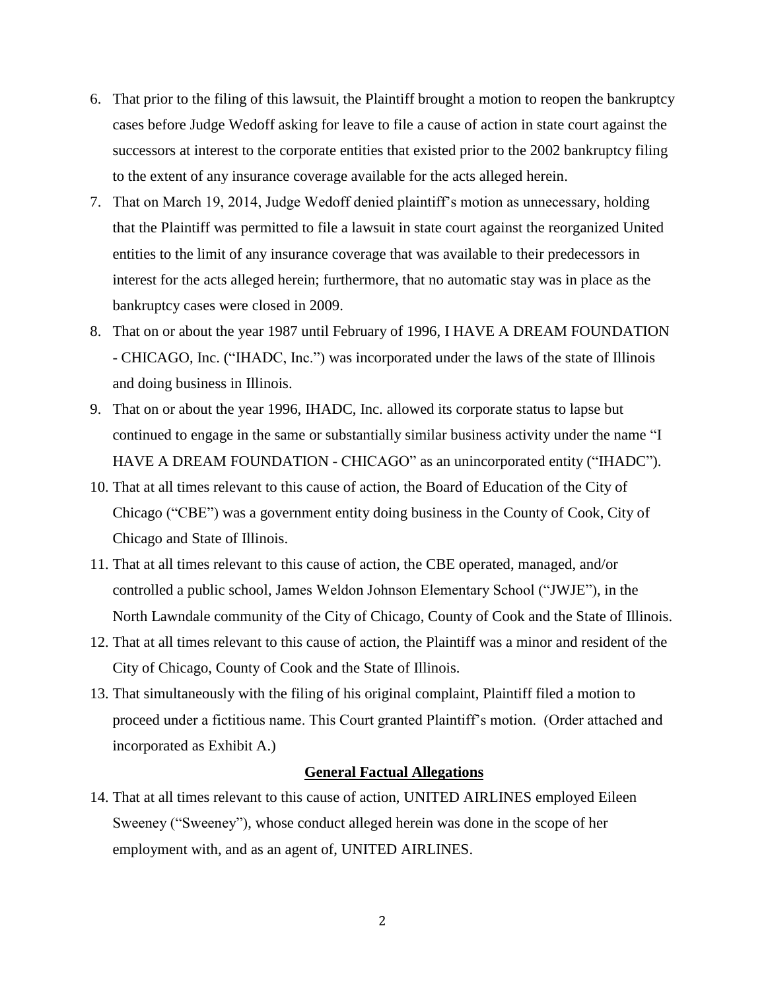- 6. That prior to the filing of this lawsuit, the Plaintiff brought a motion to reopen the bankruptcy cases before Judge Wedoff asking for leave to file a cause of action in state court against the successors at interest to the corporate entities that existed prior to the 2002 bankruptcy filing to the extent of any insurance coverage available for the acts alleged herein.
- 7. That on March 19, 2014, Judge Wedoff denied plaintiff's motion as unnecessary, holding that the Plaintiff was permitted to file a lawsuit in state court against the reorganized United entities to the limit of any insurance coverage that was available to their predecessors in interest for the acts alleged herein; furthermore, that no automatic stay was in place as the bankruptcy cases were closed in 2009.
- 8. That on or about the year 1987 until February of 1996, I HAVE A DREAM FOUNDATION - CHICAGO, Inc. ("IHADC, Inc.") was incorporated under the laws of the state of Illinois and doing business in Illinois.
- 9. That on or about the year 1996, IHADC, Inc. allowed its corporate status to lapse but continued to engage in the same or substantially similar business activity under the name "I HAVE A DREAM FOUNDATION - CHICAGO" as an unincorporated entity ("IHADC").
- 10. That at all times relevant to this cause of action, the Board of Education of the City of Chicago ("CBE") was a government entity doing business in the County of Cook, City of Chicago and State of Illinois.
- 11. That at all times relevant to this cause of action, the CBE operated, managed, and/or controlled a public school, James Weldon Johnson Elementary School ("JWJE"), in the North Lawndale community of the City of Chicago, County of Cook and the State of Illinois.
- 12. That at all times relevant to this cause of action, the Plaintiff was a minor and resident of the City of Chicago, County of Cook and the State of Illinois.
- 13. That simultaneously with the filing of his original complaint, Plaintiff filed a motion to proceed under a fictitious name. This Court granted Plaintiff's motion. (Order attached and incorporated as Exhibit A.)

#### **General Factual Allegations**

14. That at all times relevant to this cause of action, UNITED AIRLINES employed Eileen Sweeney ("Sweeney"), whose conduct alleged herein was done in the scope of her employment with, and as an agent of, UNITED AIRLINES.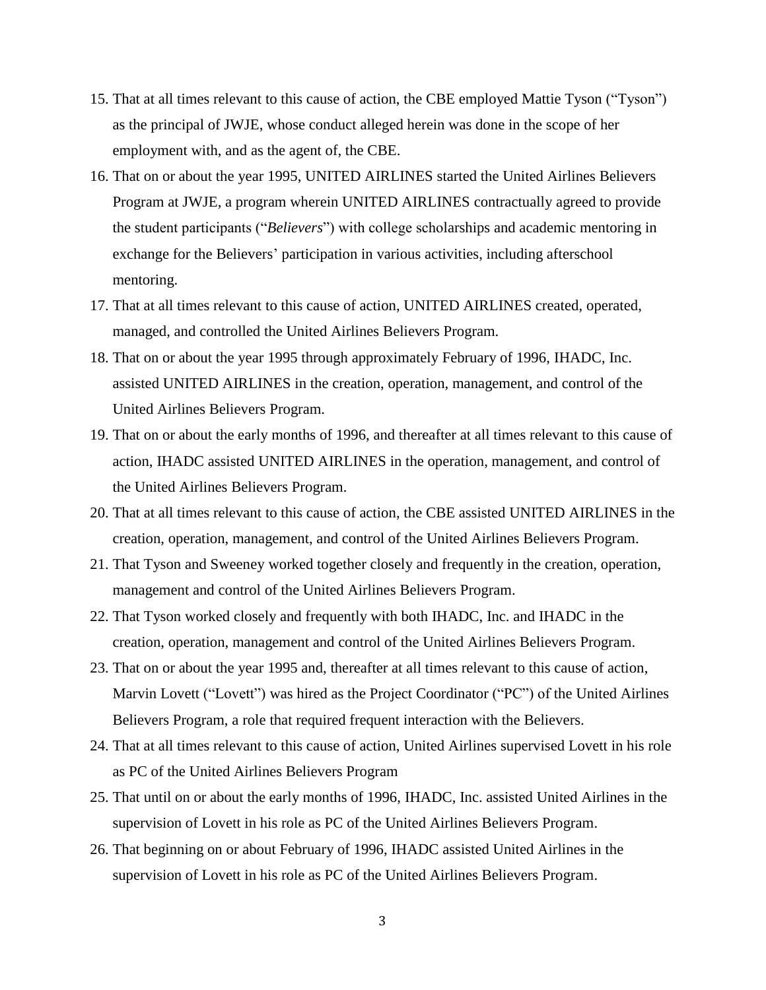- 15. That at all times relevant to this cause of action, the CBE employed Mattie Tyson ("Tyson") as the principal of JWJE, whose conduct alleged herein was done in the scope of her employment with, and as the agent of, the CBE.
- 16. That on or about the year 1995, UNITED AIRLINES started the United Airlines Believers Program at JWJE, a program wherein UNITED AIRLINES contractually agreed to provide the student participants ("*Believers*") with college scholarships and academic mentoring in exchange for the Believers' participation in various activities, including afterschool mentoring.
- 17. That at all times relevant to this cause of action, UNITED AIRLINES created, operated, managed, and controlled the United Airlines Believers Program.
- 18. That on or about the year 1995 through approximately February of 1996, IHADC, Inc. assisted UNITED AIRLINES in the creation, operation, management, and control of the United Airlines Believers Program.
- 19. That on or about the early months of 1996, and thereafter at all times relevant to this cause of action, IHADC assisted UNITED AIRLINES in the operation, management, and control of the United Airlines Believers Program.
- 20. That at all times relevant to this cause of action, the CBE assisted UNITED AIRLINES in the creation, operation, management, and control of the United Airlines Believers Program.
- 21. That Tyson and Sweeney worked together closely and frequently in the creation, operation, management and control of the United Airlines Believers Program.
- 22. That Tyson worked closely and frequently with both IHADC, Inc. and IHADC in the creation, operation, management and control of the United Airlines Believers Program.
- 23. That on or about the year 1995 and, thereafter at all times relevant to this cause of action, Marvin Lovett ("Lovett") was hired as the Project Coordinator ("PC") of the United Airlines Believers Program, a role that required frequent interaction with the Believers.
- 24. That at all times relevant to this cause of action, United Airlines supervised Lovett in his role as PC of the United Airlines Believers Program
- 25. That until on or about the early months of 1996, IHADC, Inc. assisted United Airlines in the supervision of Lovett in his role as PC of the United Airlines Believers Program.
- 26. That beginning on or about February of 1996, IHADC assisted United Airlines in the supervision of Lovett in his role as PC of the United Airlines Believers Program.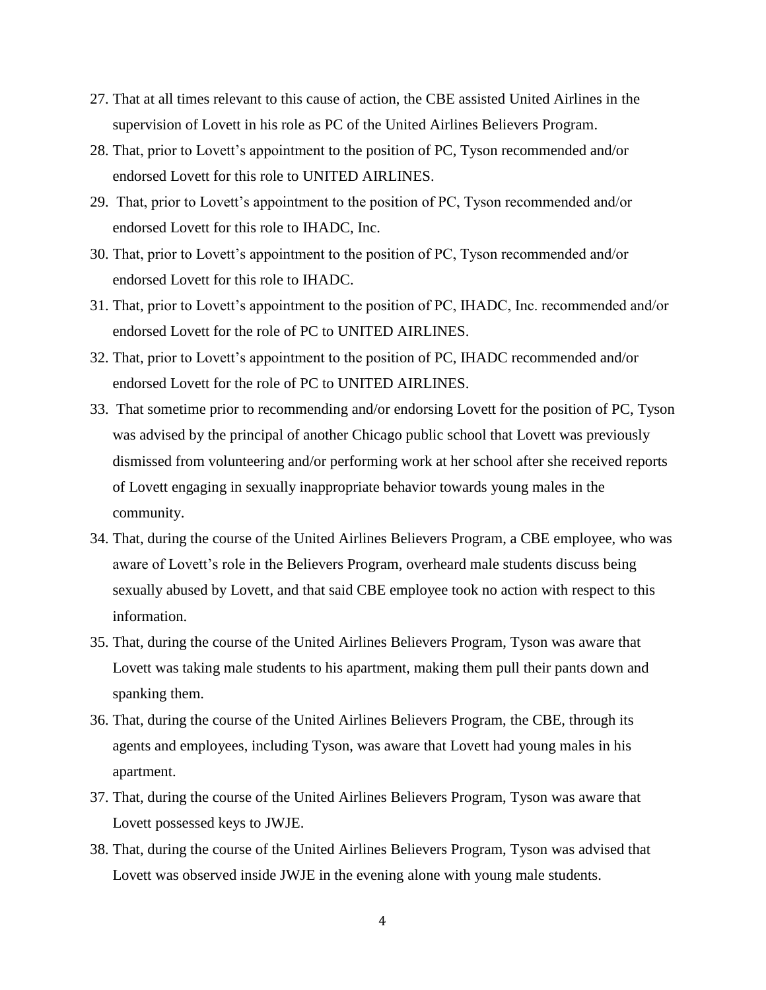- 27. That at all times relevant to this cause of action, the CBE assisted United Airlines in the supervision of Lovett in his role as PC of the United Airlines Believers Program.
- 28. That, prior to Lovett's appointment to the position of PC, Tyson recommended and/or endorsed Lovett for this role to UNITED AIRLINES.
- 29. That, prior to Lovett's appointment to the position of PC, Tyson recommended and/or endorsed Lovett for this role to IHADC, Inc.
- 30. That, prior to Lovett's appointment to the position of PC, Tyson recommended and/or endorsed Lovett for this role to IHADC.
- 31. That, prior to Lovett's appointment to the position of PC, IHADC, Inc. recommended and/or endorsed Lovett for the role of PC to UNITED AIRLINES.
- 32. That, prior to Lovett's appointment to the position of PC, IHADC recommended and/or endorsed Lovett for the role of PC to UNITED AIRLINES.
- 33. That sometime prior to recommending and/or endorsing Lovett for the position of PC, Tyson was advised by the principal of another Chicago public school that Lovett was previously dismissed from volunteering and/or performing work at her school after she received reports of Lovett engaging in sexually inappropriate behavior towards young males in the community.
- 34. That, during the course of the United Airlines Believers Program, a CBE employee, who was aware of Lovett's role in the Believers Program, overheard male students discuss being sexually abused by Lovett, and that said CBE employee took no action with respect to this information.
- 35. That, during the course of the United Airlines Believers Program, Tyson was aware that Lovett was taking male students to his apartment, making them pull their pants down and spanking them.
- 36. That, during the course of the United Airlines Believers Program, the CBE, through its agents and employees, including Tyson, was aware that Lovett had young males in his apartment.
- 37. That, during the course of the United Airlines Believers Program, Tyson was aware that Lovett possessed keys to JWJE.
- 38. That, during the course of the United Airlines Believers Program, Tyson was advised that Lovett was observed inside JWJE in the evening alone with young male students.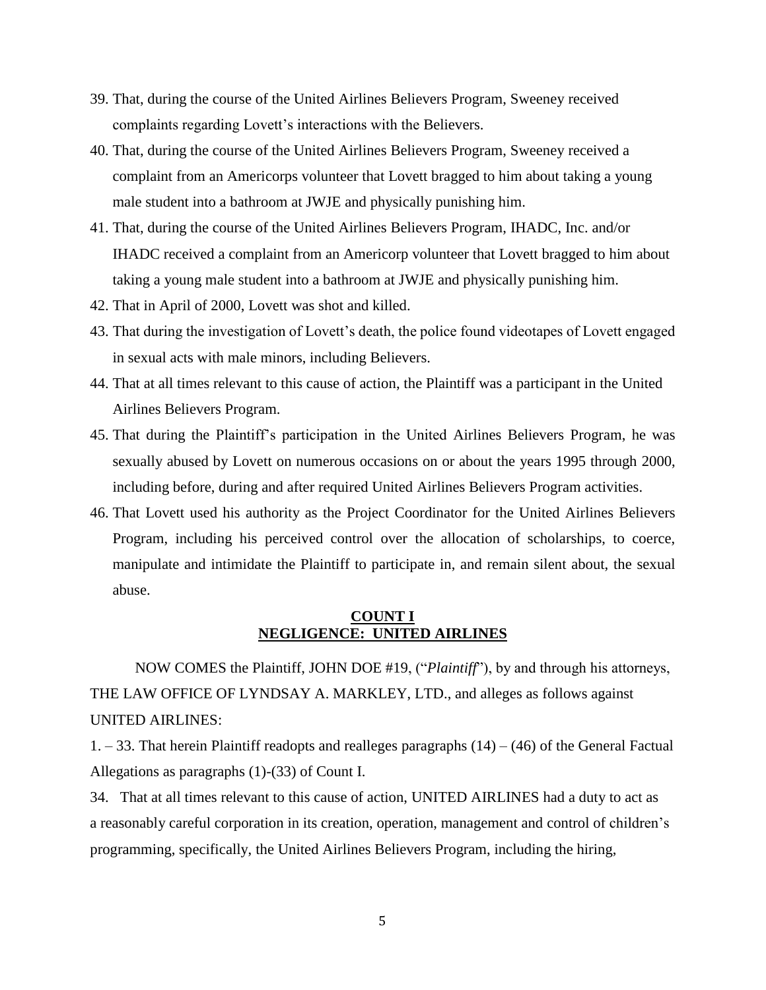- 39. That, during the course of the United Airlines Believers Program, Sweeney received complaints regarding Lovett's interactions with the Believers.
- 40. That, during the course of the United Airlines Believers Program, Sweeney received a complaint from an Americorps volunteer that Lovett bragged to him about taking a young male student into a bathroom at JWJE and physically punishing him.
- 41. That, during the course of the United Airlines Believers Program, IHADC, Inc. and/or IHADC received a complaint from an Americorp volunteer that Lovett bragged to him about taking a young male student into a bathroom at JWJE and physically punishing him.
- 42. That in April of 2000, Lovett was shot and killed.
- 43. That during the investigation of Lovett's death, the police found videotapes of Lovett engaged in sexual acts with male minors, including Believers.
- 44. That at all times relevant to this cause of action, the Plaintiff was a participant in the United Airlines Believers Program.
- 45. That during the Plaintiff's participation in the United Airlines Believers Program, he was sexually abused by Lovett on numerous occasions on or about the years 1995 through 2000, including before, during and after required United Airlines Believers Program activities.
- 46. That Lovett used his authority as the Project Coordinator for the United Airlines Believers Program, including his perceived control over the allocation of scholarships, to coerce, manipulate and intimidate the Plaintiff to participate in, and remain silent about, the sexual abuse.

#### **COUNT I NEGLIGENCE: UNITED AIRLINES**

NOW COMES the Plaintiff, JOHN DOE #19, ("*Plaintiff*"), by and through his attorneys, THE LAW OFFICE OF LYNDSAY A. MARKLEY, LTD., and alleges as follows against UNITED AIRLINES:

 $1. - 33$ . That herein Plaintiff readopts and realleges paragraphs  $(14) - (46)$  of the General Factual Allegations as paragraphs (1)-(33) of Count I.

34. That at all times relevant to this cause of action, UNITED AIRLINES had a duty to act as a reasonably careful corporation in its creation, operation, management and control of children's programming, specifically, the United Airlines Believers Program, including the hiring,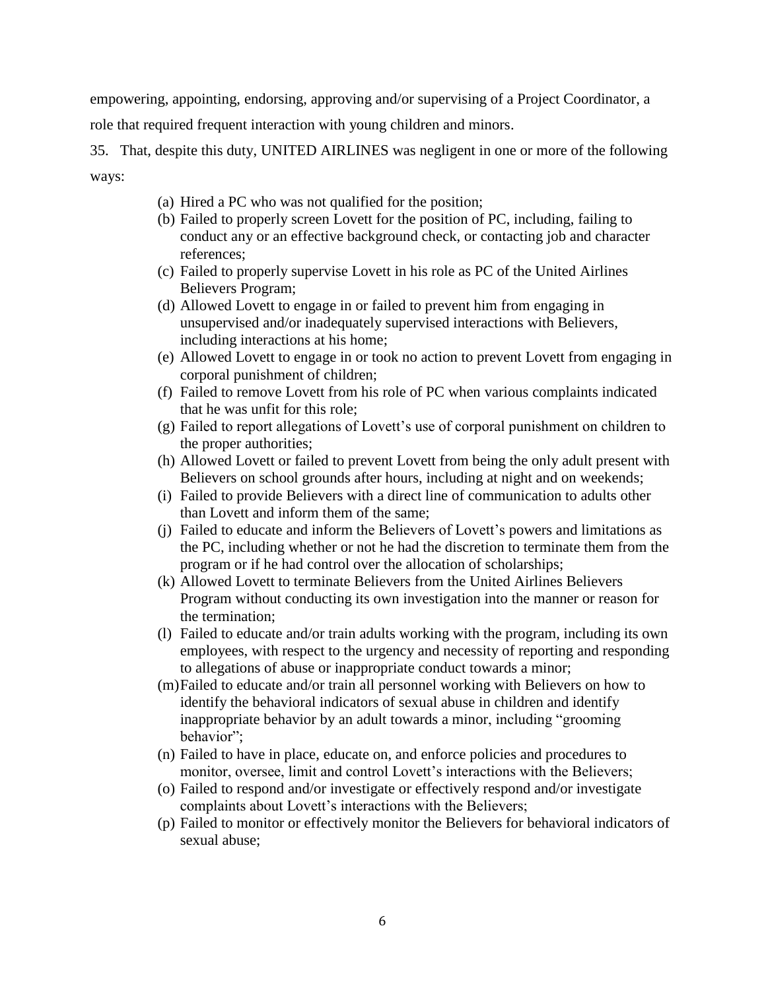empowering, appointing, endorsing, approving and/or supervising of a Project Coordinator, a role that required frequent interaction with young children and minors.

35. That, despite this duty, UNITED AIRLINES was negligent in one or more of the following ways:

- (a) Hired a PC who was not qualified for the position;
- (b) Failed to properly screen Lovett for the position of PC, including, failing to conduct any or an effective background check, or contacting job and character references;
- (c) Failed to properly supervise Lovett in his role as PC of the United Airlines Believers Program;
- (d) Allowed Lovett to engage in or failed to prevent him from engaging in unsupervised and/or inadequately supervised interactions with Believers, including interactions at his home;
- (e) Allowed Lovett to engage in or took no action to prevent Lovett from engaging in corporal punishment of children;
- (f) Failed to remove Lovett from his role of PC when various complaints indicated that he was unfit for this role;
- (g) Failed to report allegations of Lovett's use of corporal punishment on children to the proper authorities;
- (h) Allowed Lovett or failed to prevent Lovett from being the only adult present with Believers on school grounds after hours, including at night and on weekends;
- (i) Failed to provide Believers with a direct line of communication to adults other than Lovett and inform them of the same;
- (j) Failed to educate and inform the Believers of Lovett's powers and limitations as the PC, including whether or not he had the discretion to terminate them from the program or if he had control over the allocation of scholarships;
- (k) Allowed Lovett to terminate Believers from the United Airlines Believers Program without conducting its own investigation into the manner or reason for the termination;
- (l) Failed to educate and/or train adults working with the program, including its own employees, with respect to the urgency and necessity of reporting and responding to allegations of abuse or inappropriate conduct towards a minor;
- (m)Failed to educate and/or train all personnel working with Believers on how to identify the behavioral indicators of sexual abuse in children and identify inappropriate behavior by an adult towards a minor, including "grooming behavior";
- (n) Failed to have in place, educate on, and enforce policies and procedures to monitor, oversee, limit and control Lovett's interactions with the Believers;
- (o) Failed to respond and/or investigate or effectively respond and/or investigate complaints about Lovett's interactions with the Believers;
- (p) Failed to monitor or effectively monitor the Believers for behavioral indicators of sexual abuse;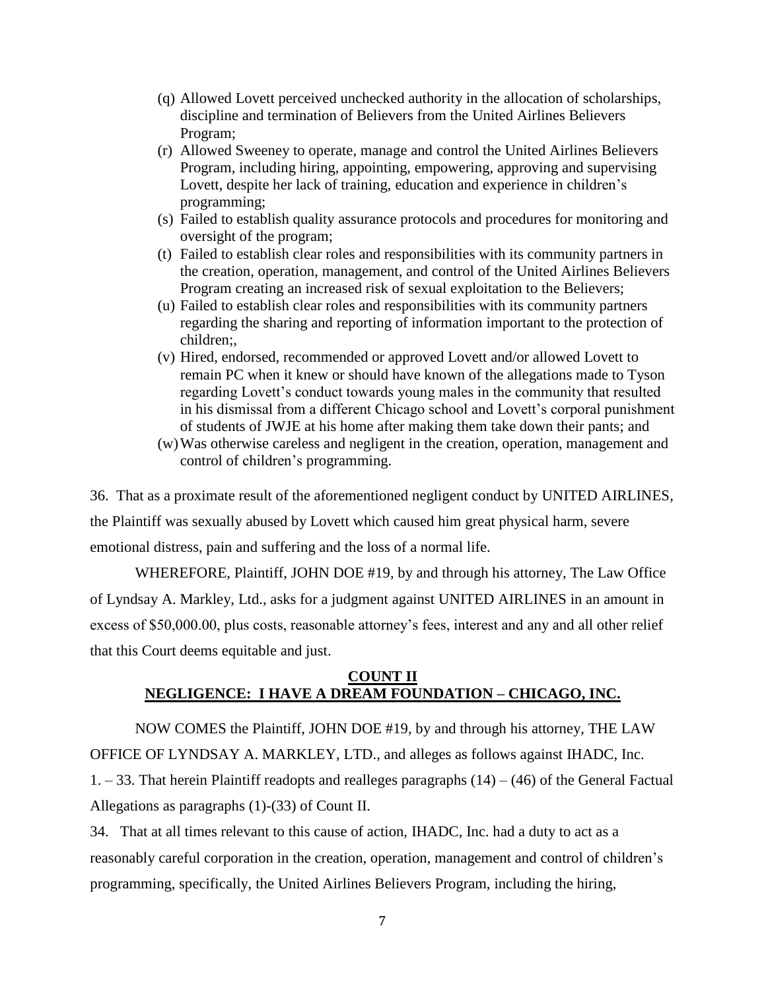- (q) Allowed Lovett perceived unchecked authority in the allocation of scholarships, discipline and termination of Believers from the United Airlines Believers Program;
- (r) Allowed Sweeney to operate, manage and control the United Airlines Believers Program, including hiring, appointing, empowering, approving and supervising Lovett, despite her lack of training, education and experience in children's programming;
- (s) Failed to establish quality assurance protocols and procedures for monitoring and oversight of the program;
- (t) Failed to establish clear roles and responsibilities with its community partners in the creation, operation, management, and control of the United Airlines Believers Program creating an increased risk of sexual exploitation to the Believers;
- (u) Failed to establish clear roles and responsibilities with its community partners regarding the sharing and reporting of information important to the protection of children;,
- (v) Hired, endorsed, recommended or approved Lovett and/or allowed Lovett to remain PC when it knew or should have known of the allegations made to Tyson regarding Lovett's conduct towards young males in the community that resulted in his dismissal from a different Chicago school and Lovett's corporal punishment of students of JWJE at his home after making them take down their pants; and
- (w)Was otherwise careless and negligent in the creation, operation, management and control of children's programming.

36. That as a proximate result of the aforementioned negligent conduct by UNITED AIRLINES, the Plaintiff was sexually abused by Lovett which caused him great physical harm, severe emotional distress, pain and suffering and the loss of a normal life.

WHEREFORE, Plaintiff, JOHN DOE #19, by and through his attorney, The Law Office of Lyndsay A. Markley, Ltd., asks for a judgment against UNITED AIRLINES in an amount in excess of \$50,000.00, plus costs, reasonable attorney's fees, interest and any and all other relief that this Court deems equitable and just.

### **COUNT II NEGLIGENCE: I HAVE A DREAM FOUNDATION – CHICAGO, INC.**

NOW COMES the Plaintiff, JOHN DOE #19, by and through his attorney, THE LAW OFFICE OF LYNDSAY A. MARKLEY, LTD., and alleges as follows against IHADC, Inc.  $1. - 33$ . That herein Plaintiff readopts and realleges paragraphs  $(14) - (46)$  of the General Factual Allegations as paragraphs (1)-(33) of Count II.

34. That at all times relevant to this cause of action, IHADC, Inc. had a duty to act as a reasonably careful corporation in the creation, operation, management and control of children's programming, specifically, the United Airlines Believers Program, including the hiring,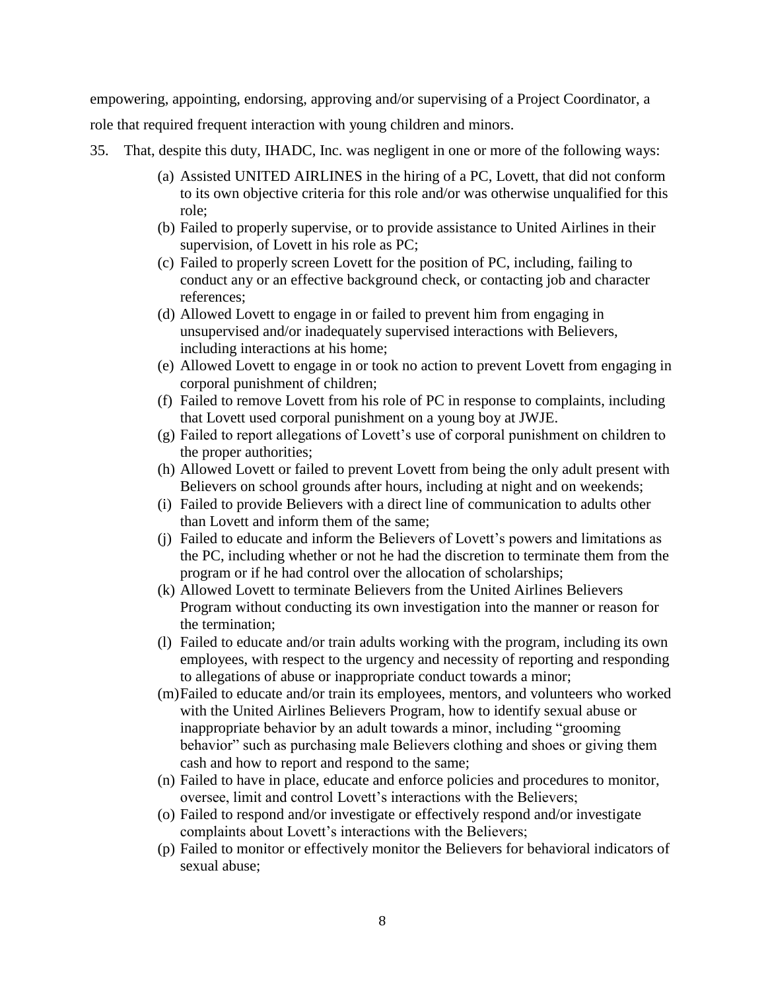empowering, appointing, endorsing, approving and/or supervising of a Project Coordinator, a role that required frequent interaction with young children and minors.

- 35. That, despite this duty, IHADC, Inc. was negligent in one or more of the following ways:
	- (a) Assisted UNITED AIRLINES in the hiring of a PC, Lovett, that did not conform to its own objective criteria for this role and/or was otherwise unqualified for this role;
	- (b) Failed to properly supervise, or to provide assistance to United Airlines in their supervision, of Lovett in his role as PC;
	- (c) Failed to properly screen Lovett for the position of PC, including, failing to conduct any or an effective background check, or contacting job and character references;
	- (d) Allowed Lovett to engage in or failed to prevent him from engaging in unsupervised and/or inadequately supervised interactions with Believers, including interactions at his home;
	- (e) Allowed Lovett to engage in or took no action to prevent Lovett from engaging in corporal punishment of children;
	- (f) Failed to remove Lovett from his role of PC in response to complaints, including that Lovett used corporal punishment on a young boy at JWJE.
	- (g) Failed to report allegations of Lovett's use of corporal punishment on children to the proper authorities;
	- (h) Allowed Lovett or failed to prevent Lovett from being the only adult present with Believers on school grounds after hours, including at night and on weekends;
	- (i) Failed to provide Believers with a direct line of communication to adults other than Lovett and inform them of the same;
	- (j) Failed to educate and inform the Believers of Lovett's powers and limitations as the PC, including whether or not he had the discretion to terminate them from the program or if he had control over the allocation of scholarships;
	- (k) Allowed Lovett to terminate Believers from the United Airlines Believers Program without conducting its own investigation into the manner or reason for the termination;
	- (l) Failed to educate and/or train adults working with the program, including its own employees, with respect to the urgency and necessity of reporting and responding to allegations of abuse or inappropriate conduct towards a minor;
	- (m)Failed to educate and/or train its employees, mentors, and volunteers who worked with the United Airlines Believers Program, how to identify sexual abuse or inappropriate behavior by an adult towards a minor, including "grooming behavior" such as purchasing male Believers clothing and shoes or giving them cash and how to report and respond to the same;
	- (n) Failed to have in place, educate and enforce policies and procedures to monitor, oversee, limit and control Lovett's interactions with the Believers;
	- (o) Failed to respond and/or investigate or effectively respond and/or investigate complaints about Lovett's interactions with the Believers;
	- (p) Failed to monitor or effectively monitor the Believers for behavioral indicators of sexual abuse;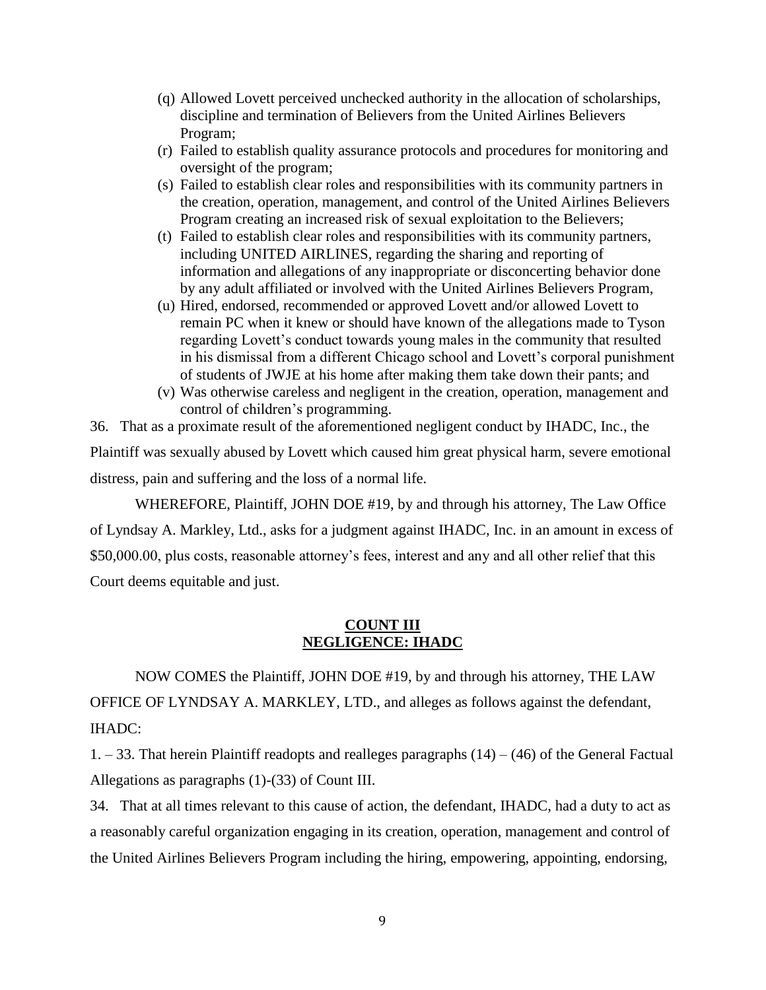- (q) Allowed Lovett perceived unchecked authority in the allocation of scholarships, discipline and termination of Believers from the United Airlines Believers Program;
- (r) Failed to establish quality assurance protocols and procedures for monitoring and oversight of the program;
- (s) Failed to establish clear roles and responsibilities with its community partners in the creation, operation, management, and control of the United Airlines Believers Program creating an increased risk of sexual exploitation to the Believers;
- (t) Failed to establish clear roles and responsibilities with its community partners, including UNITED AIRLINES, regarding the sharing and reporting of information and allegations of any inappropriate or disconcerting behavior done by any adult affiliated or involved with the United Airlines Believers Program,
- (u) Hired, endorsed, recommended or approved Lovett and/or allowed Lovett to remain PC when it knew or should have known of the allegations made to Tyson regarding Lovett's conduct towards young males in the community that resulted in his dismissal from a different Chicago school and Lovett's corporal punishment of students of JWJE at his home after making them take down their pants; and
- (v) Was otherwise careless and negligent in the creation, operation, management and control of children's programming.

36. That as a proximate result of the aforementioned negligent conduct by IHADC, Inc., the Plaintiff was sexually abused by Lovett which caused him great physical harm, severe emotional distress, pain and suffering and the loss of a normal life.

WHEREFORE, Plaintiff, JOHN DOE #19, by and through his attorney, The Law Office of Lyndsay A. Markley, Ltd., asks for a judgment against IHADC, Inc. in an amount in excess of \$50,000.00, plus costs, reasonable attorney's fees, interest and any and all other relief that this Court deems equitable and just.

## **COUNT III NEGLIGENCE: IHADC**

NOW COMES the Plaintiff, JOHN DOE #19, by and through his attorney, THE LAW OFFICE OF LYNDSAY A. MARKLEY, LTD., and alleges as follows against the defendant, IHADC:

 $1. - 33$ . That herein Plaintiff readopts and realleges paragraphs  $(14) - (46)$  of the General Factual Allegations as paragraphs (1)-(33) of Count III.

34. That at all times relevant to this cause of action, the defendant, IHADC, had a duty to act as a reasonably careful organization engaging in its creation, operation, management and control of the United Airlines Believers Program including the hiring, empowering, appointing, endorsing,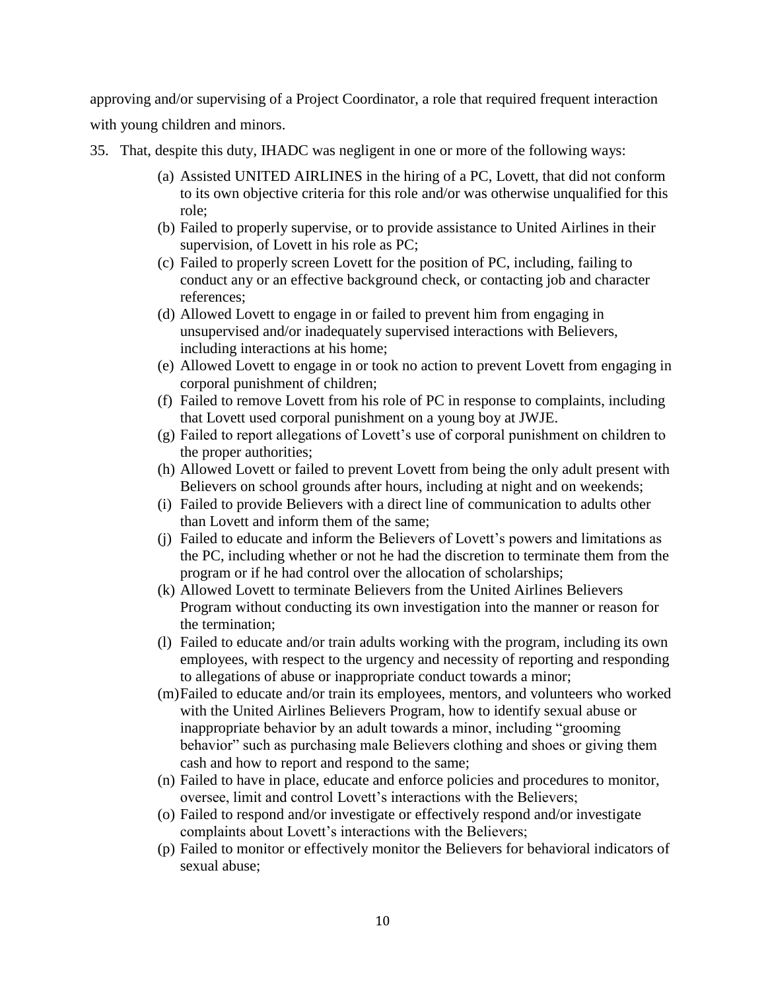approving and/or supervising of a Project Coordinator, a role that required frequent interaction with young children and minors.

35. That, despite this duty, IHADC was negligent in one or more of the following ways:

- (a) Assisted UNITED AIRLINES in the hiring of a PC, Lovett, that did not conform to its own objective criteria for this role and/or was otherwise unqualified for this role;
- (b) Failed to properly supervise, or to provide assistance to United Airlines in their supervision, of Lovett in his role as PC;
- (c) Failed to properly screen Lovett for the position of PC, including, failing to conduct any or an effective background check, or contacting job and character references;
- (d) Allowed Lovett to engage in or failed to prevent him from engaging in unsupervised and/or inadequately supervised interactions with Believers, including interactions at his home;
- (e) Allowed Lovett to engage in or took no action to prevent Lovett from engaging in corporal punishment of children;
- (f) Failed to remove Lovett from his role of PC in response to complaints, including that Lovett used corporal punishment on a young boy at JWJE.
- (g) Failed to report allegations of Lovett's use of corporal punishment on children to the proper authorities;
- (h) Allowed Lovett or failed to prevent Lovett from being the only adult present with Believers on school grounds after hours, including at night and on weekends;
- (i) Failed to provide Believers with a direct line of communication to adults other than Lovett and inform them of the same;
- (j) Failed to educate and inform the Believers of Lovett's powers and limitations as the PC, including whether or not he had the discretion to terminate them from the program or if he had control over the allocation of scholarships;
- (k) Allowed Lovett to terminate Believers from the United Airlines Believers Program without conducting its own investigation into the manner or reason for the termination;
- (l) Failed to educate and/or train adults working with the program, including its own employees, with respect to the urgency and necessity of reporting and responding to allegations of abuse or inappropriate conduct towards a minor;
- (m)Failed to educate and/or train its employees, mentors, and volunteers who worked with the United Airlines Believers Program, how to identify sexual abuse or inappropriate behavior by an adult towards a minor, including "grooming behavior" such as purchasing male Believers clothing and shoes or giving them cash and how to report and respond to the same;
- (n) Failed to have in place, educate and enforce policies and procedures to monitor, oversee, limit and control Lovett's interactions with the Believers;
- (o) Failed to respond and/or investigate or effectively respond and/or investigate complaints about Lovett's interactions with the Believers;
- (p) Failed to monitor or effectively monitor the Believers for behavioral indicators of sexual abuse;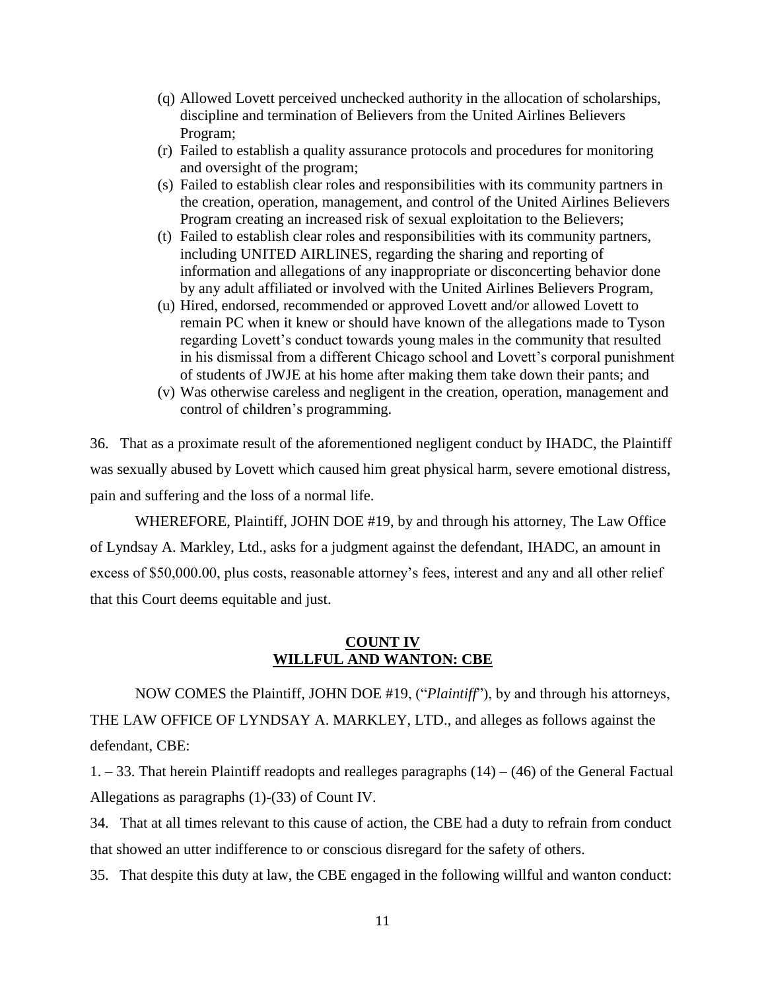- (q) Allowed Lovett perceived unchecked authority in the allocation of scholarships, discipline and termination of Believers from the United Airlines Believers Program;
- (r) Failed to establish a quality assurance protocols and procedures for monitoring and oversight of the program;
- (s) Failed to establish clear roles and responsibilities with its community partners in the creation, operation, management, and control of the United Airlines Believers Program creating an increased risk of sexual exploitation to the Believers;
- (t) Failed to establish clear roles and responsibilities with its community partners, including UNITED AIRLINES, regarding the sharing and reporting of information and allegations of any inappropriate or disconcerting behavior done by any adult affiliated or involved with the United Airlines Believers Program,
- (u) Hired, endorsed, recommended or approved Lovett and/or allowed Lovett to remain PC when it knew or should have known of the allegations made to Tyson regarding Lovett's conduct towards young males in the community that resulted in his dismissal from a different Chicago school and Lovett's corporal punishment of students of JWJE at his home after making them take down their pants; and
- (v) Was otherwise careless and negligent in the creation, operation, management and control of children's programming.

36. That as a proximate result of the aforementioned negligent conduct by IHADC, the Plaintiff was sexually abused by Lovett which caused him great physical harm, severe emotional distress, pain and suffering and the loss of a normal life.

WHEREFORE, Plaintiff, JOHN DOE #19, by and through his attorney, The Law Office of Lyndsay A. Markley, Ltd., asks for a judgment against the defendant, IHADC, an amount in excess of \$50,000.00, plus costs, reasonable attorney's fees, interest and any and all other relief that this Court deems equitable and just.

## **COUNT IV WILLFUL AND WANTON: CBE**

NOW COMES the Plaintiff, JOHN DOE #19, ("*Plaintiff*"), by and through his attorneys, THE LAW OFFICE OF LYNDSAY A. MARKLEY, LTD., and alleges as follows against the defendant, CBE:

 $1. - 33$ . That herein Plaintiff readopts and realleges paragraphs  $(14) - (46)$  of the General Factual Allegations as paragraphs (1)-(33) of Count IV.

34. That at all times relevant to this cause of action, the CBE had a duty to refrain from conduct that showed an utter indifference to or conscious disregard for the safety of others.

35. That despite this duty at law, the CBE engaged in the following willful and wanton conduct: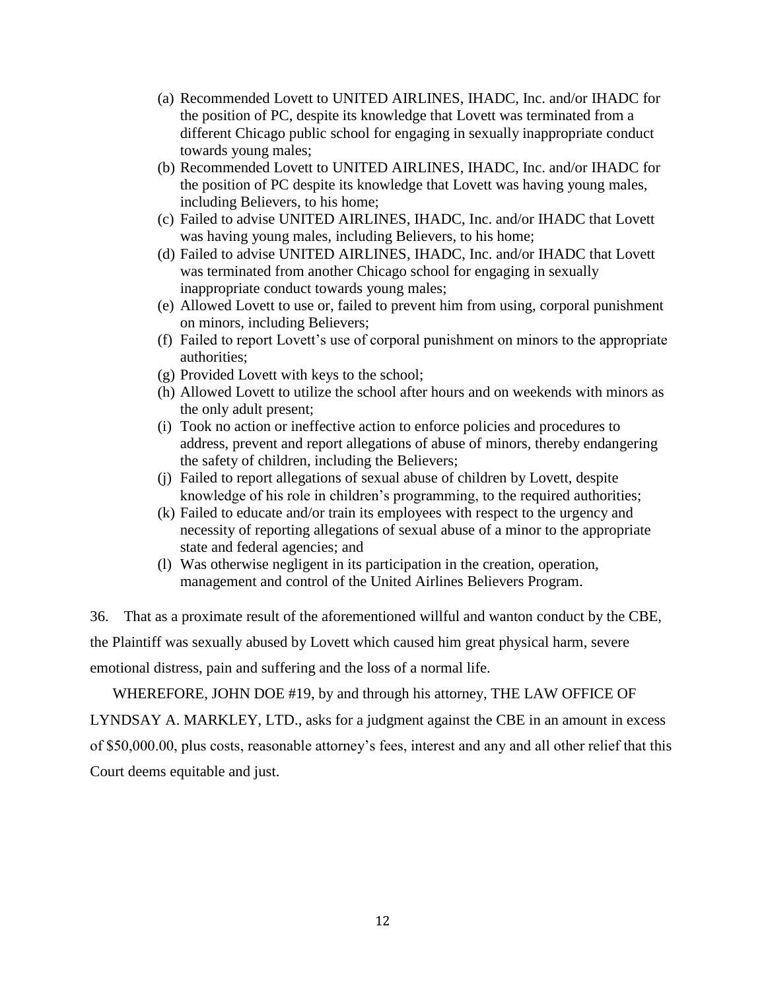- (a) Recommended Lovett to UNITED AIRLINES, IHADC, Inc. and/or IHADC for the position of PC, despite its knowledge that Lovett was terminated from a different Chicago public school for engaging in sexually inappropriate conduct towards young males;
- (b) Recommended Lovett to UNITED AIRLINES, IHADC, Inc. and/or IHADC for the position of PC despite its knowledge that Lovett was having young males, including Believers, to his home;
- (c) Failed to advise UNITED AIRLINES, IHADC, Inc. and/or IHADC that Lovett was having young males, including Believers, to his home;
- (d) Failed to advise UNITED AIRLINES, IHADC, Inc. and/or IHADC that Lovett was terminated from another Chicago school for engaging in sexually inappropriate conduct towards young males;
- (e) Allowed Lovett to use or, failed to prevent him from using, corporal punishment on minors, including Believers;
- (f) Failed to report Lovett's use of corporal punishment on minors to the appropriate authorities;
- (g) Provided Lovett with keys to the school;
- (h) Allowed Lovett to utilize the school after hours and on weekends with minors as the only adult present;
- (i) Took no action or ineffective action to enforce policies and procedures to address, prevent and report allegations of abuse of minors, thereby endangering the safety of children, including the Believers;
- (j) Failed to report allegations of sexual abuse of children by Lovett, despite knowledge of his role in children's programming, to the required authorities;
- (k) Failed to educate and/or train its employees with respect to the urgency and necessity of reporting allegations of sexual abuse of a minor to the appropriate state and federal agencies; and
- (l) Was otherwise negligent in its participation in the creation, operation, management and control of the United Airlines Believers Program.

36. That as a proximate result of the aforementioned willful and wanton conduct by the CBE, the Plaintiff was sexually abused by Lovett which caused him great physical harm, severe emotional distress, pain and suffering and the loss of a normal life.

WHEREFORE, JOHN DOE #19, by and through his attorney, THE LAW OFFICE OF LYNDSAY A. MARKLEY, LTD., asks for a judgment against the CBE in an amount in excess of \$50,000.00, plus costs, reasonable attorney's fees, interest and any and all other relief that this Court deems equitable and just.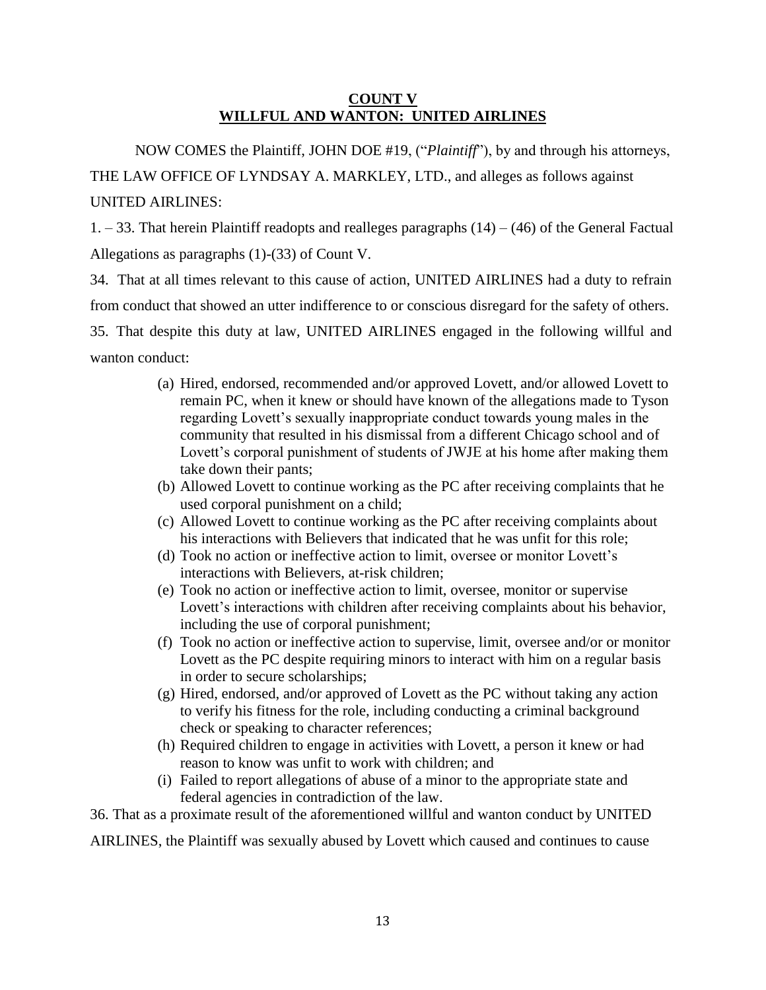## **COUNT V WILLFUL AND WANTON: UNITED AIRLINES**

NOW COMES the Plaintiff, JOHN DOE #19, ("*Plaintiff*"), by and through his attorneys, THE LAW OFFICE OF LYNDSAY A. MARKLEY, LTD., and alleges as follows against UNITED AIRLINES:

 $1. - 33$ . That herein Plaintiff readopts and realleges paragraphs  $(14) - (46)$  of the General Factual Allegations as paragraphs (1)-(33) of Count V.

34. That at all times relevant to this cause of action, UNITED AIRLINES had a duty to refrain from conduct that showed an utter indifference to or conscious disregard for the safety of others. 35. That despite this duty at law, UNITED AIRLINES engaged in the following willful and wanton conduct:

- (a) Hired, endorsed, recommended and/or approved Lovett, and/or allowed Lovett to remain PC, when it knew or should have known of the allegations made to Tyson regarding Lovett's sexually inappropriate conduct towards young males in the community that resulted in his dismissal from a different Chicago school and of Lovett's corporal punishment of students of JWJE at his home after making them take down their pants;
- (b) Allowed Lovett to continue working as the PC after receiving complaints that he used corporal punishment on a child;
- (c) Allowed Lovett to continue working as the PC after receiving complaints about his interactions with Believers that indicated that he was unfit for this role;
- (d) Took no action or ineffective action to limit, oversee or monitor Lovett's interactions with Believers, at-risk children;
- (e) Took no action or ineffective action to limit, oversee, monitor or supervise Lovett's interactions with children after receiving complaints about his behavior, including the use of corporal punishment;
- (f) Took no action or ineffective action to supervise, limit, oversee and/or or monitor Lovett as the PC despite requiring minors to interact with him on a regular basis in order to secure scholarships;
- (g) Hired, endorsed, and/or approved of Lovett as the PC without taking any action to verify his fitness for the role, including conducting a criminal background check or speaking to character references;
- (h) Required children to engage in activities with Lovett, a person it knew or had reason to know was unfit to work with children; and
- (i) Failed to report allegations of abuse of a minor to the appropriate state and federal agencies in contradiction of the law.

36. That as a proximate result of the aforementioned willful and wanton conduct by UNITED

AIRLINES, the Plaintiff was sexually abused by Lovett which caused and continues to cause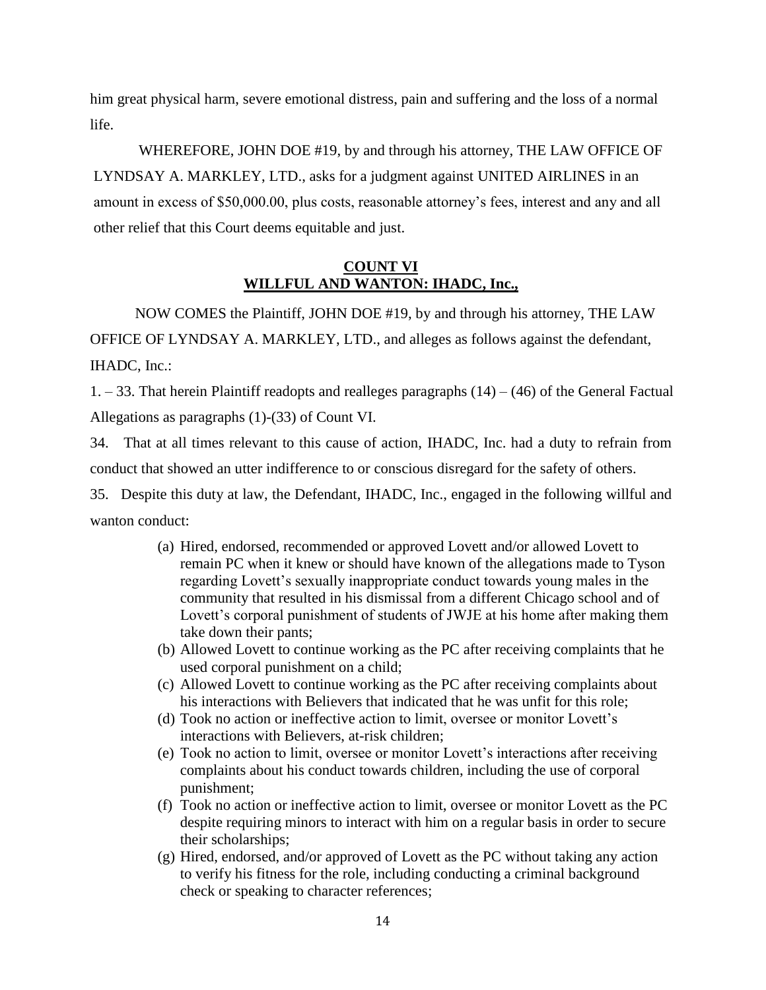him great physical harm, severe emotional distress, pain and suffering and the loss of a normal life.

WHEREFORE, JOHN DOE #19, by and through his attorney, THE LAW OFFICE OF LYNDSAY A. MARKLEY, LTD., asks for a judgment against UNITED AIRLINES in an amount in excess of \$50,000.00, plus costs, reasonable attorney's fees, interest and any and all other relief that this Court deems equitable and just.

## **COUNT VI WILLFUL AND WANTON: IHADC, Inc.,**

NOW COMES the Plaintiff, JOHN DOE #19, by and through his attorney, THE LAW OFFICE OF LYNDSAY A. MARKLEY, LTD., and alleges as follows against the defendant, IHADC, Inc.:

 $1. - 33$ . That herein Plaintiff readopts and realleges paragraphs  $(14) - (46)$  of the General Factual Allegations as paragraphs (1)-(33) of Count VI.

34. That at all times relevant to this cause of action, IHADC, Inc. had a duty to refrain from conduct that showed an utter indifference to or conscious disregard for the safety of others.

35. Despite this duty at law, the Defendant, IHADC, Inc., engaged in the following willful and wanton conduct:

- (a) Hired, endorsed, recommended or approved Lovett and/or allowed Lovett to remain PC when it knew or should have known of the allegations made to Tyson regarding Lovett's sexually inappropriate conduct towards young males in the community that resulted in his dismissal from a different Chicago school and of Lovett's corporal punishment of students of JWJE at his home after making them take down their pants;
- (b) Allowed Lovett to continue working as the PC after receiving complaints that he used corporal punishment on a child;
- (c) Allowed Lovett to continue working as the PC after receiving complaints about his interactions with Believers that indicated that he was unfit for this role;
- (d) Took no action or ineffective action to limit, oversee or monitor Lovett's interactions with Believers, at-risk children;
- (e) Took no action to limit, oversee or monitor Lovett's interactions after receiving complaints about his conduct towards children, including the use of corporal punishment;
- (f) Took no action or ineffective action to limit, oversee or monitor Lovett as the PC despite requiring minors to interact with him on a regular basis in order to secure their scholarships;
- (g) Hired, endorsed, and/or approved of Lovett as the PC without taking any action to verify his fitness for the role, including conducting a criminal background check or speaking to character references;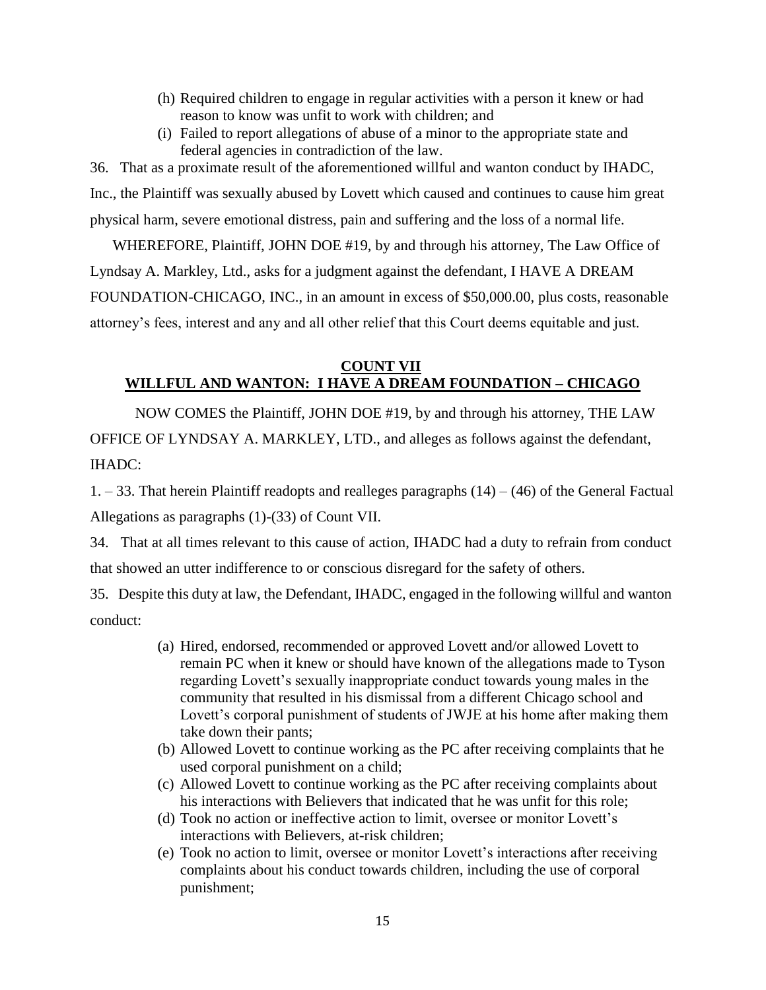- (h) Required children to engage in regular activities with a person it knew or had reason to know was unfit to work with children; and
- (i) Failed to report allegations of abuse of a minor to the appropriate state and federal agencies in contradiction of the law.

36. That as a proximate result of the aforementioned willful and wanton conduct by IHADC, Inc., the Plaintiff was sexually abused by Lovett which caused and continues to cause him great physical harm, severe emotional distress, pain and suffering and the loss of a normal life.

WHEREFORE, Plaintiff, JOHN DOE #19, by and through his attorney, The Law Office of Lyndsay A. Markley, Ltd., asks for a judgment against the defendant, I HAVE A DREAM FOUNDATION-CHICAGO, INC., in an amount in excess of \$50,000.00, plus costs, reasonable attorney's fees, interest and any and all other relief that this Court deems equitable and just.

## **COUNT VII WILLFUL AND WANTON: I HAVE A DREAM FOUNDATION – CHICAGO**

NOW COMES the Plaintiff, JOHN DOE #19, by and through his attorney, THE LAW OFFICE OF LYNDSAY A. MARKLEY, LTD., and alleges as follows against the defendant, IHADC:

 $1. - 33$ . That herein Plaintiff readopts and realleges paragraphs  $(14) - (46)$  of the General Factual Allegations as paragraphs (1)-(33) of Count VII.

34. That at all times relevant to this cause of action, IHADC had a duty to refrain from conduct that showed an utter indifference to or conscious disregard for the safety of others.

35. Despite this duty at law, the Defendant, IHADC, engaged in the following willful and wanton conduct:

- (a) Hired, endorsed, recommended or approved Lovett and/or allowed Lovett to remain PC when it knew or should have known of the allegations made to Tyson regarding Lovett's sexually inappropriate conduct towards young males in the community that resulted in his dismissal from a different Chicago school and Lovett's corporal punishment of students of JWJE at his home after making them take down their pants;
- (b) Allowed Lovett to continue working as the PC after receiving complaints that he used corporal punishment on a child;
- (c) Allowed Lovett to continue working as the PC after receiving complaints about his interactions with Believers that indicated that he was unfit for this role;
- (d) Took no action or ineffective action to limit, oversee or monitor Lovett's interactions with Believers, at-risk children;
- (e) Took no action to limit, oversee or monitor Lovett's interactions after receiving complaints about his conduct towards children, including the use of corporal punishment;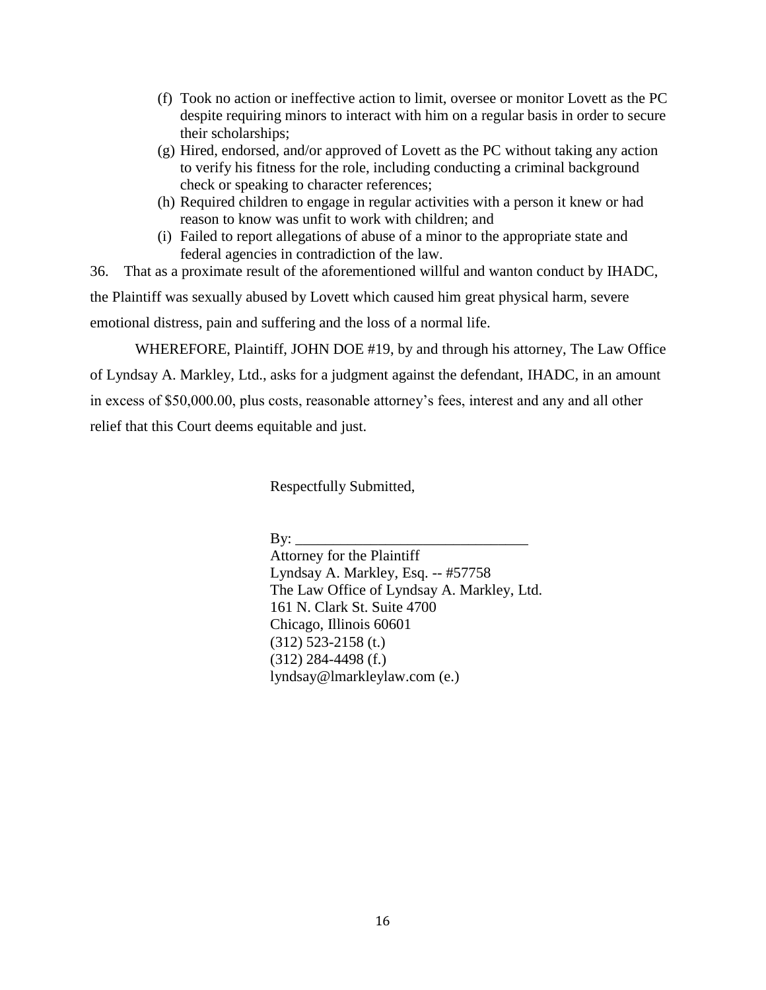- (f) Took no action or ineffective action to limit, oversee or monitor Lovett as the PC despite requiring minors to interact with him on a regular basis in order to secure their scholarships;
- (g) Hired, endorsed, and/or approved of Lovett as the PC without taking any action to verify his fitness for the role, including conducting a criminal background check or speaking to character references;
- (h) Required children to engage in regular activities with a person it knew or had reason to know was unfit to work with children; and
- (i) Failed to report allegations of abuse of a minor to the appropriate state and federal agencies in contradiction of the law.

36. That as a proximate result of the aforementioned willful and wanton conduct by IHADC, the Plaintiff was sexually abused by Lovett which caused him great physical harm, severe emotional distress, pain and suffering and the loss of a normal life.

WHEREFORE, Plaintiff, JOHN DOE #19, by and through his attorney, The Law Office of Lyndsay A. Markley, Ltd., asks for a judgment against the defendant, IHADC, in an amount in excess of \$50,000.00, plus costs, reasonable attorney's fees, interest and any and all other relief that this Court deems equitable and just.

Respectfully Submitted,

By:  $\_\_$ 

Attorney for the Plaintiff Lyndsay A. Markley, Esq. -- #57758 The Law Office of Lyndsay A. Markley, Ltd. 161 N. Clark St. Suite 4700 Chicago, Illinois 60601 (312) 523-2158 (t.) (312) 284-4498 (f.) lyndsay@lmarkleylaw.com (e.)